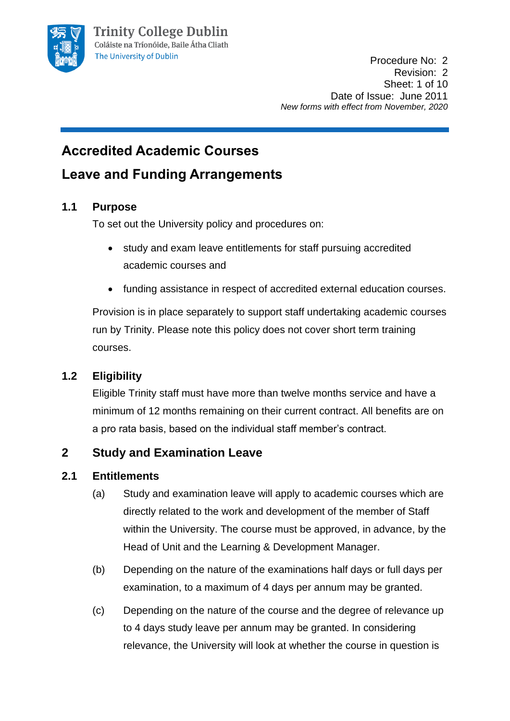

# **Accredited Academic Courses**

## **Leave and Funding Arrangements**

### **1.1 Purpose**

To set out the University policy and procedures on:

- study and exam leave entitlements for staff pursuing accredited academic courses and
- funding assistance in respect of accredited external education courses.

Provision is in place separately to support staff undertaking academic courses run by Trinity. Please note this policy does not cover short term training courses.

## **1.2 Eligibility**

Eligible Trinity staff must have more than twelve months service and have a minimum of 12 months remaining on their current contract. All benefits are on a pro rata basis, based on the individual staff member's contract.

## **2 Study and Examination Leave**

### **2.1 Entitlements**

- (a) Study and examination leave will apply to academic courses which are directly related to the work and development of the member of Staff within the University. The course must be approved, in advance, by the Head of Unit and the Learning & Development Manager.
- (b) Depending on the nature of the examinations half days or full days per examination, to a maximum of 4 days per annum may be granted.
- (c) Depending on the nature of the course and the degree of relevance up to 4 days study leave per annum may be granted. In considering relevance, the University will look at whether the course in question is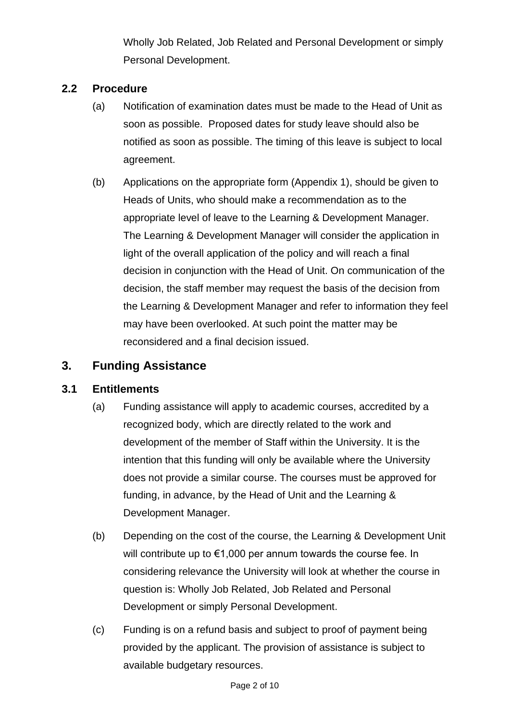Wholly Job Related, Job Related and Personal Development or simply Personal Development.

### **2.2 Procedure**

- (a) Notification of examination dates must be made to the Head of Unit as soon as possible. Proposed dates for study leave should also be notified as soon as possible. The timing of this leave is subject to local agreement.
- (b) Applications on the appropriate form (Appendix 1), should be given to Heads of Units, who should make a recommendation as to the appropriate level of leave to the Learning & Development Manager. The Learning & Development Manager will consider the application in light of the overall application of the policy and will reach a final decision in conjunction with the Head of Unit. On communication of the decision, the staff member may request the basis of the decision from the Learning & Development Manager and refer to information they feel may have been overlooked. At such point the matter may be reconsidered and a final decision issued.

### **3. Funding Assistance**

### **3.1 Entitlements**

- (a) Funding assistance will apply to academic courses, accredited by a recognized body, which are directly related to the work and development of the member of Staff within the University. It is the intention that this funding will only be available where the University does not provide a similar course. The courses must be approved for funding, in advance, by the Head of Unit and the Learning & Development Manager.
- (b) Depending on the cost of the course, the Learning & Development Unit will contribute up to €1,000 per annum towards the course fee. In considering relevance the University will look at whether the course in question is: Wholly Job Related, Job Related and Personal Development or simply Personal Development.
- (c) Funding is on a refund basis and subject to proof of payment being provided by the applicant. The provision of assistance is subject to available budgetary resources.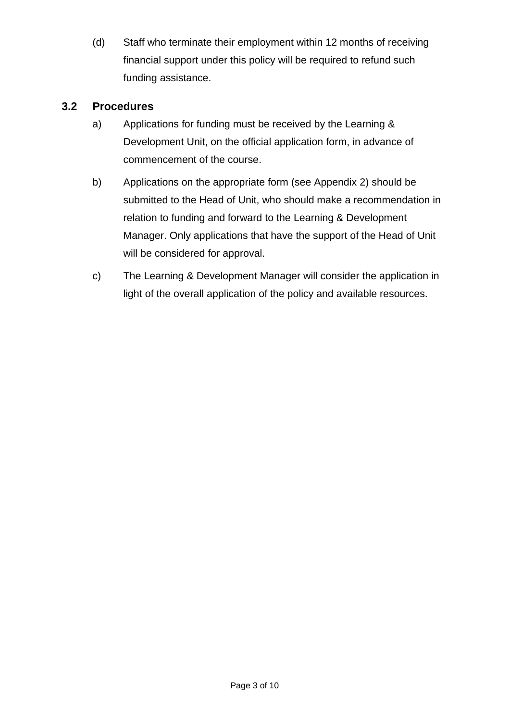(d) Staff who terminate their employment within 12 months of receiving financial support under this policy will be required to refund such funding assistance.

### **3.2 Procedures**

- a) Applications for funding must be received by the Learning & Development Unit, on the official application form, in advance of commencement of the course.
- b) Applications on the appropriate form (see Appendix 2) should be submitted to the Head of Unit, who should make a recommendation in relation to funding and forward to the Learning & Development Manager. Only applications that have the support of the Head of Unit will be considered for approval.
- c) The Learning & Development Manager will consider the application in light of the overall application of the policy and available resources.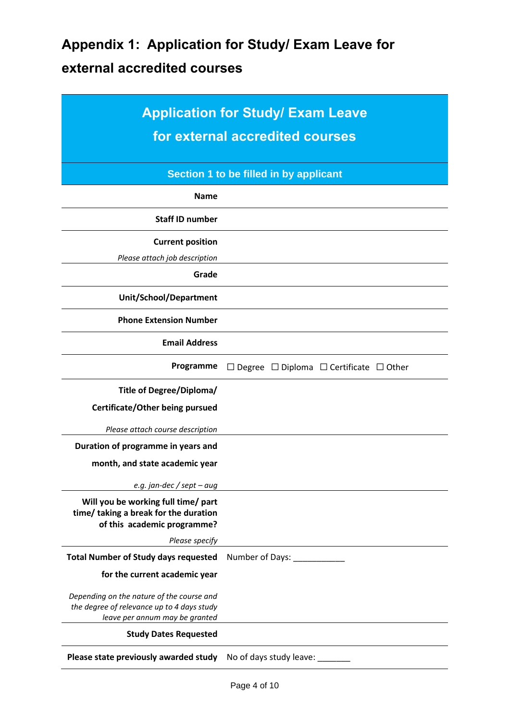# **Appendix 1: Application for Study/ Exam Leave for external accredited courses**

| <b>Application for Study/ Exam Leave</b><br>for external accredited courses                                               |                                                              |
|---------------------------------------------------------------------------------------------------------------------------|--------------------------------------------------------------|
| Section 1 to be filled in by applicant                                                                                    |                                                              |
| <b>Name</b>                                                                                                               |                                                              |
| <b>Staff ID number</b>                                                                                                    |                                                              |
| <b>Current position</b><br>Please attach job description                                                                  |                                                              |
| Grade                                                                                                                     |                                                              |
| <b>Unit/School/Department</b>                                                                                             |                                                              |
| <b>Phone Extension Number</b>                                                                                             |                                                              |
| <b>Email Address</b>                                                                                                      |                                                              |
| Programme                                                                                                                 | $\Box$ Degree $\Box$ Diploma $\Box$ Certificate $\Box$ Other |
| Title of Degree/Diploma/                                                                                                  |                                                              |
| Certificate/Other being pursued                                                                                           |                                                              |
| Please attach course description                                                                                          |                                                              |
| Duration of programme in years and                                                                                        |                                                              |
| month, and state academic year                                                                                            |                                                              |
| e.g. jan-dec / sept – aug                                                                                                 |                                                              |
| Will you be working full time/ part<br>time/ taking a break for the duration<br>of this academic programme?               |                                                              |
| Please specify                                                                                                            |                                                              |
| <b>Total Number of Study days requested</b>                                                                               | Number of Days: _____________                                |
| for the current academic year                                                                                             |                                                              |
| Depending on the nature of the course and<br>the degree of relevance up to 4 days study<br>leave per annum may be granted |                                                              |
| <b>Study Dates Requested</b>                                                                                              |                                                              |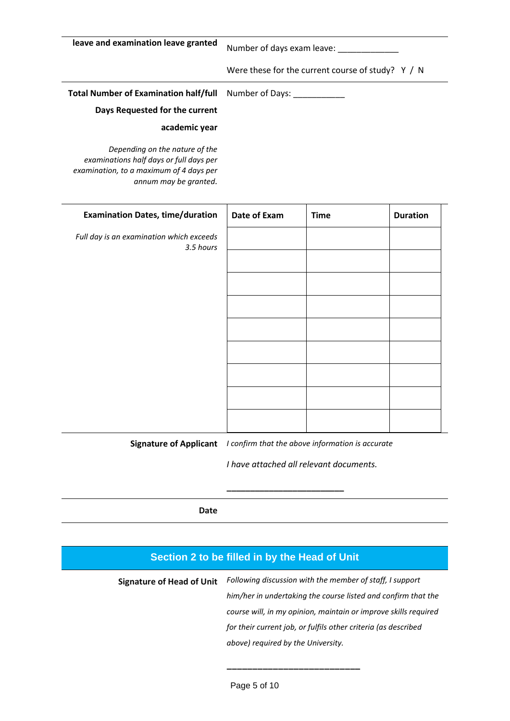**leave and examination leave granted** Number of days exam leave: Were these for the current course of study? Y / N **Total Number of Examination half/full Days Requested for the current academic year** *Depending on the nature of the examinations half days or full days per*  Number of Days:

*examination, to a maximum of 4 days per* 

*annum may be granted.*

**Examination Dates, time/duration** *Full day is an examination which exceeds 3.5 hours* **Date of Exam** Time Duration

**Signature of Applicant** *I confirm that the above information is accurate*

*I have attached all relevant documents.*

**\_\_\_\_\_\_\_\_\_\_\_\_\_\_\_\_\_\_\_\_\_\_\_\_\_**

**Date**

# **Section 2 to be filled in by the Head of Unit Signature of Head of Unit** *Following discussion with the member of staff, I support him/her in undertaking the course listed and confirm that the course will, in my opinion, maintain or improve skills required for their current job, or fulfils other criteria (as described above) required by the University.* **\_\_\_\_\_\_\_\_\_\_\_\_\_\_\_\_\_\_\_\_\_\_\_\_\_\_**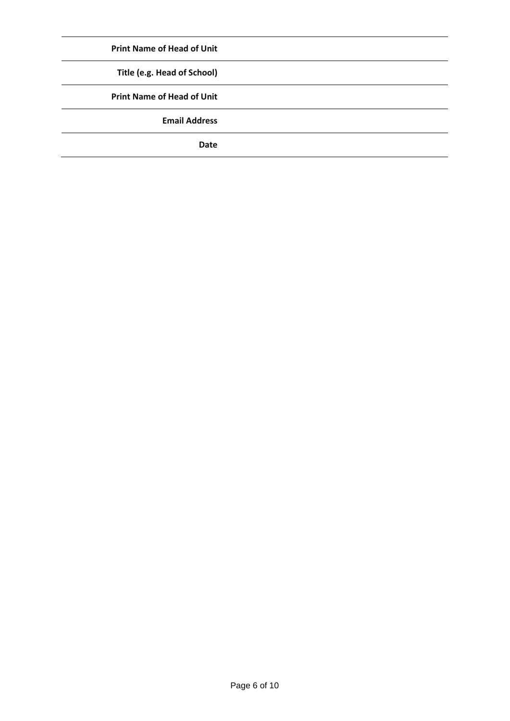| <b>Print Name of Head of Unit</b> |
|-----------------------------------|
| Title (e.g. Head of School)       |
| <b>Print Name of Head of Unit</b> |
| <b>Email Address</b>              |
| <b>Date</b>                       |
|                                   |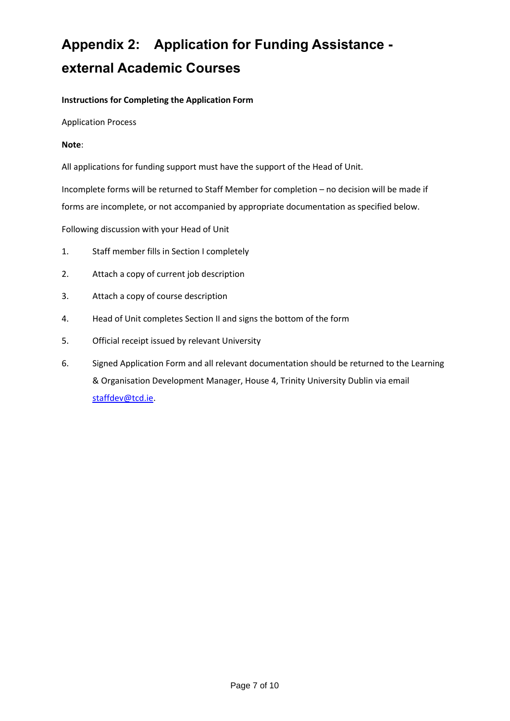# **Appendix 2: Application for Funding Assistance external Academic Courses**

#### **Instructions for Completing the Application Form**

Application Process

#### **Note**:

All applications for funding support must have the support of the Head of Unit.

Incomplete forms will be returned to Staff Member for completion – no decision will be made if forms are incomplete, or not accompanied by appropriate documentation as specified below.

Following discussion with your Head of Unit

- 1. Staff member fills in Section I completely
- 2. Attach a copy of current job description
- 3. Attach a copy of course description
- 4. Head of Unit completes Section II and signs the bottom of the form
- 5. Official receipt issued by relevant University
- 6. Signed Application Form and all relevant documentation should be returned to the Learning & Organisation Development Manager, House 4, Trinity University Dublin via email [staffdev@tcd.ie.](mailto:staffdev@tcd.ie)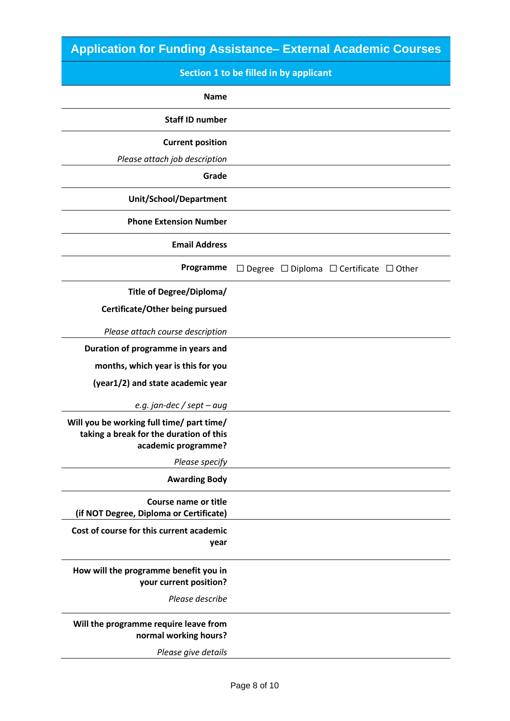## **Application for Funding Assistance– External Academic Courses**

## **Section 1 to be filled in by applicant**

| <b>Name</b>                                                                                                 |                                                              |
|-------------------------------------------------------------------------------------------------------------|--------------------------------------------------------------|
| <b>Staff ID number</b>                                                                                      |                                                              |
| <b>Current position</b>                                                                                     |                                                              |
| Please attach job description                                                                               |                                                              |
| Grade                                                                                                       |                                                              |
| Unit/School/Department                                                                                      |                                                              |
| <b>Phone Extension Number</b>                                                                               |                                                              |
| <b>Email Address</b>                                                                                        |                                                              |
| Programme                                                                                                   | $\Box$ Degree $\Box$ Diploma $\Box$ Certificate $\Box$ Other |
| Title of Degree/Diploma/                                                                                    |                                                              |
| Certificate/Other being pursued                                                                             |                                                              |
| Please attach course description                                                                            |                                                              |
| Duration of programme in years and                                                                          |                                                              |
| months, which year is this for you                                                                          |                                                              |
| (year1/2) and state academic year                                                                           |                                                              |
| e.g. jan-dec / sept – aug                                                                                   |                                                              |
| Will you be working full time/ part time/<br>taking a break for the duration of this<br>academic programme? |                                                              |
| Please specify                                                                                              |                                                              |
| <b>Awarding Body</b>                                                                                        |                                                              |
| Course name or title<br>(if NOT Degree, Diploma or Certificate)                                             |                                                              |
| Cost of course for this current academic<br>year                                                            |                                                              |
| How will the programme benefit you in<br>your current position?                                             |                                                              |
| Please describe                                                                                             |                                                              |
| Will the programme require leave from<br>normal working hours?                                              |                                                              |

*Please give details*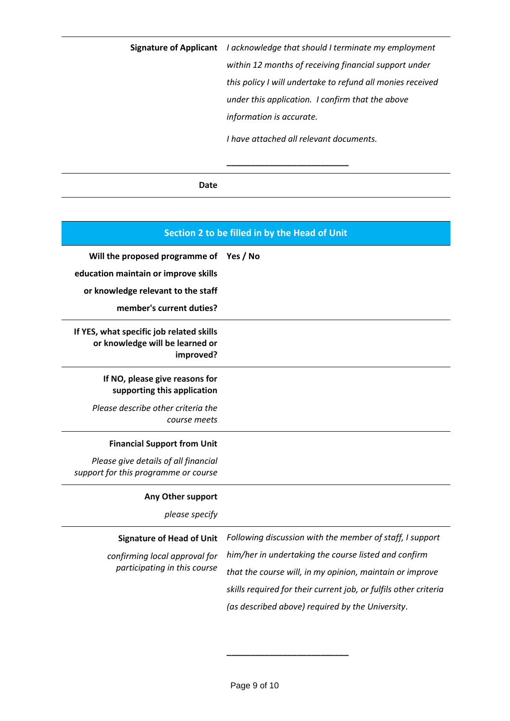**Signature of Applicant** *I acknowledge that should I terminate my employment within 12 months of receiving financial support under this policy I will undertake to refund all monies received under this application. I confirm that the above information is accurate.* 

*I have attached all relevant documents.*

**\_\_\_\_\_\_\_\_\_\_\_\_\_\_\_\_\_\_\_\_\_\_\_\_\_\_**

#### **Date**

| Section 2 to be filled in by the Head of Unit                                            |                                                                  |
|------------------------------------------------------------------------------------------|------------------------------------------------------------------|
| Will the proposed programme of                                                           | Yes / No                                                         |
| education maintain or improve skills                                                     |                                                                  |
| or knowledge relevant to the staff                                                       |                                                                  |
| member's current duties?                                                                 |                                                                  |
| If YES, what specific job related skills<br>or knowledge will be learned or<br>improved? |                                                                  |
| If NO, please give reasons for<br>supporting this application                            |                                                                  |
| Please describe other criteria the<br>course meets                                       |                                                                  |
| <b>Financial Support from Unit</b>                                                       |                                                                  |
| Please give details of all financial<br>support for this programme or course             |                                                                  |
| Any Other support                                                                        |                                                                  |
| please specify                                                                           |                                                                  |
| <b>Signature of Head of Unit</b>                                                         | Following discussion with the member of staff, I support         |
| confirming local approval for                                                            | him/her in undertaking the course listed and confirm             |
| participating in this course                                                             | that the course will, in my opinion, maintain or improve         |
|                                                                                          | skills required for their current job, or fulfils other criteria |
|                                                                                          | (as described above) required by the University.                 |

**\_\_\_\_\_\_\_\_\_\_\_\_\_\_\_\_\_\_\_\_\_\_\_\_\_\_**